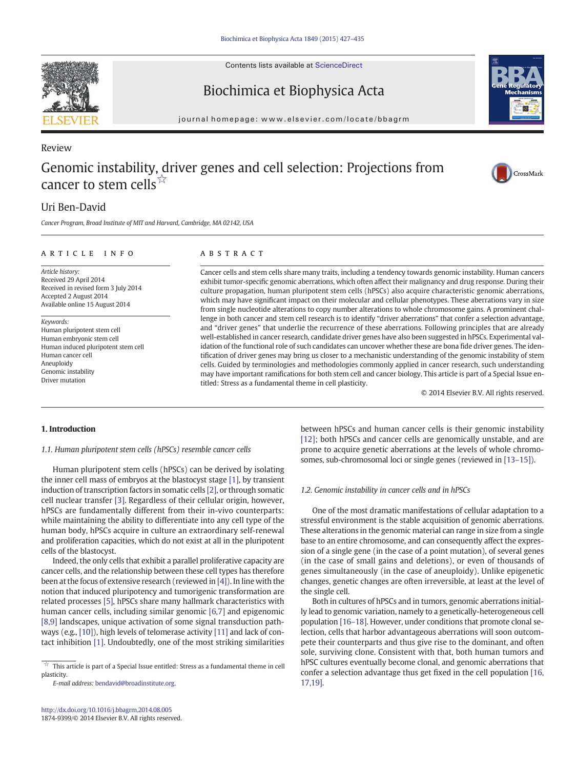Contents lists available at ScienceDirect



Review

Biochimica et Biophysica Acta



journal homepage: www.elsevier.com/locate/bbagrm

# Genomic instability, driver genes and cell selection: Projections from cancer to stem cells $\vec{X}$



# Uri Ben-David

Cancer Program, Broad Institute of MIT and Harvard, Cambridge, MA 02142, USA

# article info abstract

Article history: Received 29 April 2014 Received in revised form 3 July 2014 Accepted 2 August 2014 Available online 15 August 2014

Keywords: Human pluripotent stem cell

Human embryonic stem cell Human induced pluripotent stem cell Human cancer cell Aneuploidy Genomic instability Driver mutation

Cancer cells and stem cells share many traits, including a tendency towards genomic instability. Human cancers exhibit tumor-specific genomic aberrations, which often affect their malignancy and drug response. During their culture propagation, human pluripotent stem cells (hPSCs) also acquire characteristic genomic aberrations, which may have significant impact on their molecular and cellular phenotypes. These aberrations vary in size from single nucleotide alterations to copy number alterations to whole chromosome gains. A prominent challenge in both cancer and stem cell research is to identify "driver aberrations" that confer a selection advantage, and "driver genes" that underlie the recurrence of these aberrations. Following principles that are already well-established in cancer research, candidate driver genes have also been suggested in hPSCs. Experimental validation of the functional role of such candidates can uncover whether these are bona fide driver genes. The identification of driver genes may bring us closer to a mechanistic understanding of the genomic instability of stem cells. Guided by terminologies and methodologies commonly applied in cancer research, such understanding may have important ramifications for both stem cell and cancer biology. This article is part of a Special Issue entitled: Stress as a fundamental theme in cell plasticity.

© 2014 Elsevier B.V. All rights reserved.

# 1. Introduction

# 1.1. Human pluripotent stem cells (hPSCs) resemble cancer cells

Human pluripotent stem cells (hPSCs) can be derived by isolating the inner cell mass of embryos at the blastocyst stage [\[1\]](#page-6-0), by transient induction of transcription factors in somatic cells [\[2\]](#page-6-0), or through somatic cell nuclear transfer [\[3\].](#page-6-0) Regardless of their cellular origin, however, hPSCs are fundamentally different from their in-vivo counterparts: while maintaining the ability to differentiate into any cell type of the human body, hPSCs acquire in culture an extraordinary self-renewal and proliferation capacities, which do not exist at all in the pluripotent cells of the blastocyst.

Indeed, the only cells that exhibit a parallel proliferative capacity are cancer cells, and the relationship between these cell types has therefore been at the focus of extensive research (reviewed in [\[4\]](#page-6-0)). In line with the notion that induced pluripotency and tumorigenic transformation are related processes [\[5\],](#page-6-0) hPSCs share many hallmark characteristics with human cancer cells, including similar genomic [\[6,7\]](#page-6-0) and epigenomic [\[8,9\]](#page-6-0) landscapes, unique activation of some signal transduction pathways (e.g., [\[10\]\)](#page-7-0), high levels of telomerase activity [\[11\]](#page-7-0) and lack of contact inhibition [\[1\].](#page-6-0) Undoubtedly, one of the most striking similarities

E-mail address: [bendavid@broadinstitute.org](mailto:bendavid@broadinstitute.org).

between hPSCs and human cancer cells is their genomic instability [\[12\]](#page-7-0); both hPSCs and cancer cells are genomically unstable, and are prone to acquire genetic aberrations at the levels of whole chromosomes, sub-chromosomal loci or single genes (reviewed in [\[13](#page-7-0)–15]).

# 1.2. Genomic instability in cancer cells and in hPSCs

One of the most dramatic manifestations of cellular adaptation to a stressful environment is the stable acquisition of genomic aberrations. These alterations in the genomic material can range in size from a single base to an entire chromosome, and can consequently affect the expression of a single gene (in the case of a point mutation), of several genes (in the case of small gains and deletions), or even of thousands of genes simultaneously (in the case of aneuploidy). Unlike epigenetic changes, genetic changes are often irreversible, at least at the level of the single cell.

Both in cultures of hPSCs and in tumors, genomic aberrations initially lead to genomic variation, namely to a genetically-heterogeneous cell population [\[16](#page-7-0)–18]. However, under conditions that promote clonal selection, cells that harbor advantageous aberrations will soon outcompete their counterparts and thus give rise to the dominant, and often sole, surviving clone. Consistent with that, both human tumors and hPSC cultures eventually become clonal, and genomic aberrations that confer a selection advantage thus get fixed in the cell population [\[16,](#page-7-0) [17,19\].](#page-7-0)

 $\overrightarrow{a}$  This article is part of a Special Issue entitled: Stress as a fundamental theme in cell plasticity.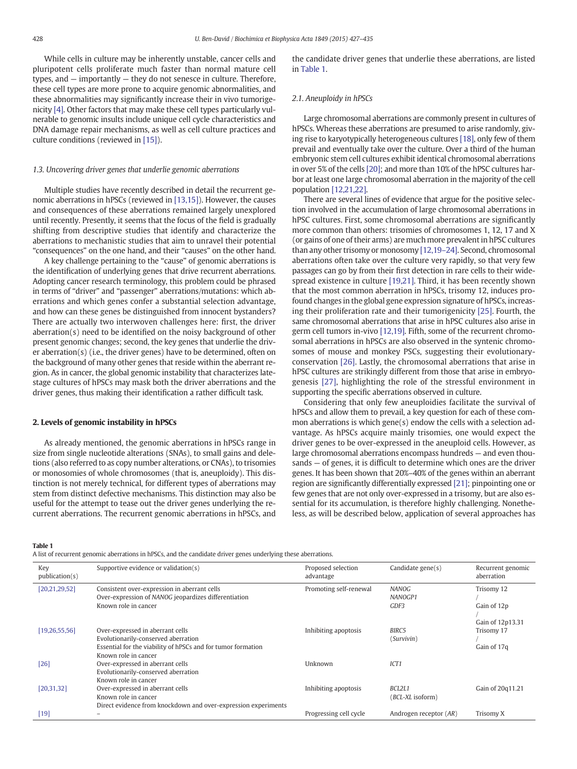While cells in culture may be inherently unstable, cancer cells and pluripotent cells proliferate much faster than normal mature cell types, and — importantly — they do not senesce in culture. Therefore, these cell types are more prone to acquire genomic abnormalities, and these abnormalities may significantly increase their in vivo tumorigenicity [\[4\]](#page-6-0). Other factors that may make these cell types particularly vulnerable to genomic insults include unique cell cycle characteristics and DNA damage repair mechanisms, as well as cell culture practices and culture conditions (reviewed in [\[15\]](#page-7-0)).

# 1.3. Uncovering driver genes that underlie genomic aberrations

Multiple studies have recently described in detail the recurrent genomic aberrations in hPSCs (reviewed in [\[13,15\]\)](#page-7-0). However, the causes and consequences of these aberrations remained largely unexplored until recently. Presently, it seems that the focus of the field is gradually shifting from descriptive studies that identify and characterize the aberrations to mechanistic studies that aim to unravel their potential "consequences" on the one hand, and their "causes" on the other hand.

A key challenge pertaining to the "cause" of genomic aberrations is the identification of underlying genes that drive recurrent aberrations. Adopting cancer research terminology, this problem could be phrased in terms of "driver" and "passenger" aberrations/mutations: which aberrations and which genes confer a substantial selection advantage, and how can these genes be distinguished from innocent bystanders? There are actually two interwoven challenges here: first, the driver aberration(s) need to be identified on the noisy background of other present genomic changes; second, the key genes that underlie the driver aberration(s) (i.e., the driver genes) have to be determined, often on the background of many other genes that reside within the aberrant region. As in cancer, the global genomic instability that characterizes latestage cultures of hPSCs may mask both the driver aberrations and the driver genes, thus making their identification a rather difficult task.

# 2. Levels of genomic instability in hPSCs

As already mentioned, the genomic aberrations in hPSCs range in size from single nucleotide alterations (SNAs), to small gains and deletions (also referred to as copy number alterations, or CNAs), to trisomies or monosomies of whole chromosomes (that is, aneuploidy). This distinction is not merely technical, for different types of aberrations may stem from distinct defective mechanisms. This distinction may also be useful for the attempt to tease out the driver genes underlying the recurrent aberrations. The recurrent genomic aberrations in hPSCs, and the candidate driver genes that underlie these aberrations, are listed in Table 1.

# 2.1. Aneuploidy in hPSCs

Large chromosomal aberrations are commonly present in cultures of hPSCs. Whereas these aberrations are presumed to arise randomly, giving rise to karyotypically heterogeneous cultures [\[18\]](#page-7-0), only few of them prevail and eventually take over the culture. Over a third of the human embryonic stem cell cultures exhibit identical chromosomal aberrations in over 5% of the cells [\[20\];](#page-7-0) and more than 10% of the hPSC cultures harbor at least one large chromosomal aberration in the majority of the cell population [\[12,21,22\].](#page-7-0)

There are several lines of evidence that argue for the positive selection involved in the accumulation of large chromosomal aberrations in hPSC cultures. First, some chromosomal aberrations are significantly more common than others: trisomies of chromosomes 1, 12, 17 and X (or gains of one of their arms) are much more prevalent in hPSC cultures than any other trisomy or monosomy [\[12,19](#page-7-0)–24]. Second, chromosomal aberrations often take over the culture very rapidly, so that very few passages can go by from their first detection in rare cells to their widespread existence in culture [\[19,21\]](#page-7-0). Third, it has been recently shown that the most common aberration in hPSCs, trisomy 12, induces profound changes in the global gene expression signature of hPSCs, increasing their proliferation rate and their tumorigenicity [\[25\]](#page-7-0). Fourth, the same chromosomal aberrations that arise in hPSC cultures also arise in germ cell tumors in-vivo [\[12,19\].](#page-7-0) Fifth, some of the recurrent chromosomal aberrations in hPSCs are also observed in the syntenic chromosomes of mouse and monkey PSCs, suggesting their evolutionaryconservation [\[26\].](#page-7-0) Lastly, the chromosomal aberrations that arise in hPSC cultures are strikingly different from those that arise in embryogenesis [\[27\]](#page-7-0), highlighting the role of the stressful environment in supporting the specific aberrations observed in culture.

Considering that only few aneuploidies facilitate the survival of hPSCs and allow them to prevail, a key question for each of these common aberrations is which gene(s) endow the cells with a selection advantage. As hPSCs acquire mainly trisomies, one would expect the driver genes to be over-expressed in the aneuploid cells. However, as large chromosomal aberrations encompass hundreds — and even thousands — of genes, it is difficult to determine which ones are the driver genes. It has been shown that 20%–40% of the genes within an aberrant region are significantly differentially expressed [\[21\];](#page-7-0) pinpointing one or few genes that are not only over-expressed in a trisomy, but are also essential for its accumulation, is therefore highly challenging. Nonetheless, as will be described below, application of several approaches has

Table 1

A list of recurrent genomic aberrations in hPSCs, and the candidate driver genes underlying these aberrations.

| Key<br>publication(s) | Supportive evidence or validation(s)                                                                                                                            | Proposed selection<br>advantage | Candidate gene $(s)$            | Recurrent genomic<br>aberration               |
|-----------------------|-----------------------------------------------------------------------------------------------------------------------------------------------------------------|---------------------------------|---------------------------------|-----------------------------------------------|
| [20,21,29,52]         | Consistent over-expression in aberrant cells<br>Over-expression of NANOG jeopardizes differentiation<br>Known role in cancer                                    | Promoting self-renewal          | <b>NANOG</b><br>NANOGP1<br>GDE3 | Trisomy 12<br>Gain of 12p<br>Gain of 12p13.31 |
| [19,26,55,56]         | Over-expressed in aberrant cells<br>Evolutionarily-conserved aberration<br>Essential for the viability of hPSCs and for tumor formation<br>Known role in cancer | Inhibiting apoptosis            | BIRC5<br>(Survivin)             | Trisomy 17<br>Gain of 17q                     |
| $[26]$                | Over-expressed in aberrant cells<br>Evolutionarily-conserved aberration<br>Known role in cancer                                                                 | Unknown                         | ICT1                            |                                               |
| [20,31,32]            | Over-expressed in aberrant cells<br>Known role in cancer<br>Direct evidence from knockdown and over-expression experiments                                      | Inhibiting apoptosis            | BCL2L1<br>(BCL-XL isoform)      | Gain of 20q11.21                              |
| [19]                  |                                                                                                                                                                 | Progressing cell cycle          | Androgen receptor (AR)          | Trisomy X                                     |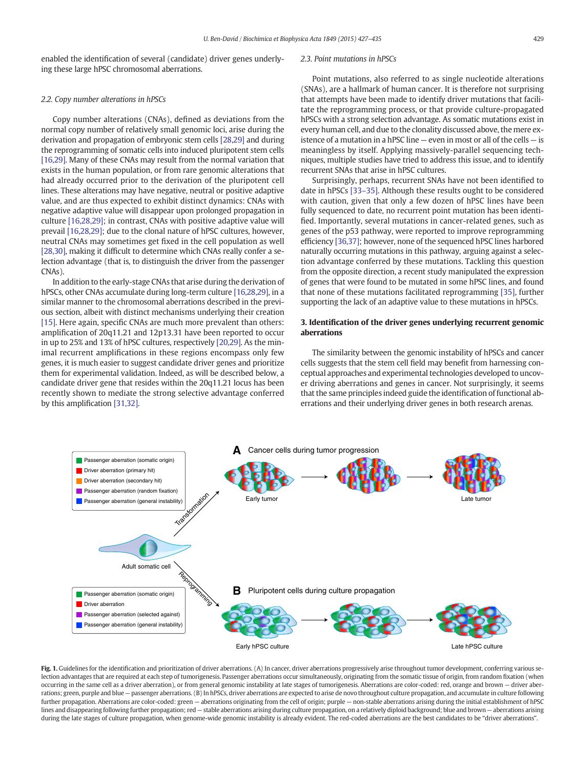<span id="page-2-0"></span>enabled the identification of several (candidate) driver genes underlying these large hPSC chromosomal aberrations.

#### 2.2. Copy number alterations in hPSCs

Copy number alterations (CNAs), defined as deviations from the normal copy number of relatively small genomic loci, arise during the derivation and propagation of embryonic stem cells [\[28,29\]](#page-7-0) and during the reprogramming of somatic cells into induced pluripotent stem cells [\[16,29\].](#page-7-0) Many of these CNAs may result from the normal variation that exists in the human population, or from rare genomic alterations that had already occurred prior to the derivation of the pluripotent cell lines. These alterations may have negative, neutral or positive adaptive value, and are thus expected to exhibit distinct dynamics: CNAs with negative adaptive value will disappear upon prolonged propagation in culture [\[16,28,29\];](#page-7-0) in contrast, CNAs with positive adaptive value will prevail [\[16,28,29\]](#page-7-0); due to the clonal nature of hPSC cultures, however, neutral CNAs may sometimes get fixed in the cell population as well [\[28,30\],](#page-7-0) making it difficult to determine which CNAs really confer a selection advantage (that is, to distinguish the driver from the passenger CNAs).

In addition to the early-stage CNAs that arise during the derivation of hPSCs, other CNAs accumulate during long-term culture [\[16,28,29\]](#page-7-0), in a similar manner to the chromosomal aberrations described in the previous section, albeit with distinct mechanisms underlying their creation [\[15\]](#page-7-0). Here again, specific CNAs are much more prevalent than others: amplification of 20q11.21 and 12p13.31 have been reported to occur in up to 25% and 13% of hPSC cultures, respectively [\[20,29\].](#page-7-0) As the minimal recurrent amplifications in these regions encompass only few genes, it is much easier to suggest candidate driver genes and prioritize them for experimental validation. Indeed, as will be described below, a candidate driver gene that resides within the 20q11.21 locus has been recently shown to mediate the strong selective advantage conferred by this amplification [\[31,32\]](#page-7-0).

# 2.3. Point mutations in hPSCs

Point mutations, also referred to as single nucleotide alterations (SNAs), are a hallmark of human cancer. It is therefore not surprising that attempts have been made to identify driver mutations that facilitate the reprogramming process, or that provide culture-propagated hPSCs with a strong selection advantage. As somatic mutations exist in every human cell, and due to the clonality discussed above, the mere existence of a mutation in a hPSC line — even in most or all of the cells — is meaningless by itself. Applying massively-parallel sequencing techniques, multiple studies have tried to address this issue, and to identify recurrent SNAs that arise in hPSC cultures.

Surprisingly, perhaps, recurrent SNAs have not been identified to date in hPSCs [33–[35\]](#page-7-0). Although these results ought to be considered with caution, given that only a few dozen of hPSC lines have been fully sequenced to date, no recurrent point mutation has been identified. Importantly, several mutations in cancer-related genes, such as genes of the p53 pathway, were reported to improve reprogramming efficiency [\[36,37\];](#page-7-0) however, none of the sequenced hPSC lines harbored naturally occurring mutations in this pathway, arguing against a selection advantage conferred by these mutations. Tackling this question from the opposite direction, a recent study manipulated the expression of genes that were found to be mutated in some hPSC lines, and found that none of these mutations facilitated reprogramming [\[35\],](#page-7-0) further supporting the lack of an adaptive value to these mutations in hPSCs.

# 3. Identification of the driver genes underlying recurrent genomic aberrations

The similarity between the genomic instability of hPSCs and cancer cells suggests that the stem cell field may benefit from harnessing conceptual approaches and experimental technologies developed to uncover driving aberrations and genes in cancer. Not surprisingly, it seems that the same principles indeed guide the identification of functional aberrations and their underlying driver genes in both research arenas.



Fig. 1. Guidelines for the identification and prioritization of driver aberrations. (A) In cancer, driver aberrations progressively arise throughout tumor development, conferring various selection advantages that are required at each step of tumorigenesis. Passenger aberrations occur simultaneously, originating from the somatic tissue of origin, from random fixation (when occurring in the same cell as a driver aberration), or from general genomic instability at late stages of tumorigenesis. Aberrations are color-coded: red, orange and brown — driver aberrations; green, purple and blue — passenger aberrations. (B) In hPSCs, driver aberrations are expected to arise de novo throughout culture propagation, and accumulate in culture following further propagation. Aberrations are color-coded: green - aberrations originating from the cell of origin; purple - non-stable aberrations arising during the initial establishment of hPSC lines and disappearing following further propagation; red — stable aberrations arising during culture propagation, on a relatively diploid background; blue and brown — aberrations arising during the late stages of culture propagation, when genome-wide genomic instability is already evident. The red-coded aberrations are the best candidates to be "driver aberrations".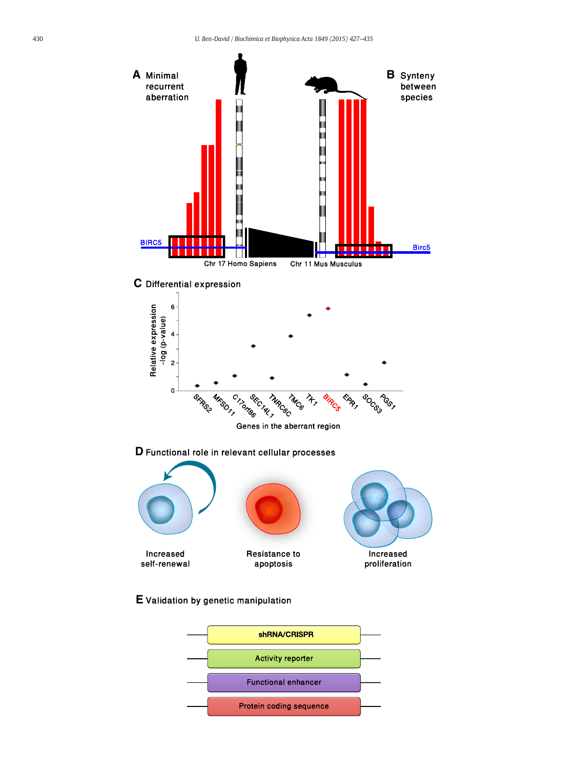

**E** Validation by genetic manipulation

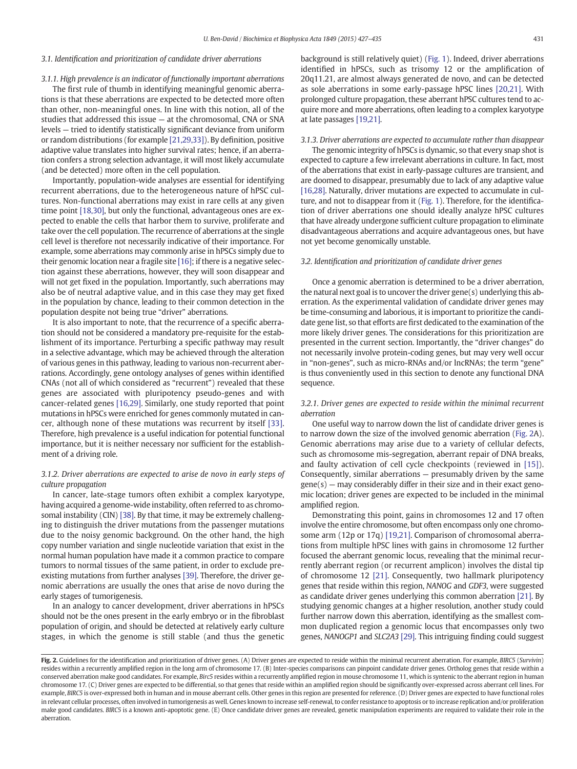# <span id="page-4-0"></span>3.1. Identification and prioritization of candidate driver aberrations

# 3.1.1. High prevalence is an indicator of functionally important aberrations

The first rule of thumb in identifying meaningful genomic aberrations is that these aberrations are expected to be detected more often than other, non-meaningful ones. In line with this notion, all of the studies that addressed this issue — at the chromosomal, CNA or SNA levels — tried to identify statistically significant deviance from uniform or random distributions (for example [\[21,29,33\]\)](#page-7-0). By definition, positive adaptive value translates into higher survival rates; hence, if an aberration confers a strong selection advantage, it will most likely accumulate (and be detected) more often in the cell population.

Importantly, population-wide analyses are essential for identifying recurrent aberrations, due to the heterogeneous nature of hPSC cultures. Non-functional aberrations may exist in rare cells at any given time point [\[18,30\],](#page-7-0) but only the functional, advantageous ones are expected to enable the cells that harbor them to survive, proliferate and take over the cell population. The recurrence of aberrations at the single cell level is therefore not necessarily indicative of their importance. For example, some aberrations may commonly arise in hPSCs simply due to their genomic location near a fragile site [\[16\];](#page-7-0) if there is a negative selection against these aberrations, however, they will soon disappear and will not get fixed in the population. Importantly, such aberrations may also be of neutral adaptive value, and in this case they may get fixed in the population by chance, leading to their common detection in the population despite not being true "driver" aberrations.

It is also important to note, that the recurrence of a specific aberration should not be considered a mandatory pre-requisite for the establishment of its importance. Perturbing a specific pathway may result in a selective advantage, which may be achieved through the alteration of various genes in this pathway, leading to various non-recurrent aberrations. Accordingly, gene ontology analyses of genes within identified CNAs (not all of which considered as "recurrent") revealed that these genes are associated with pluripotency pseudo-genes and with cancer-related genes [\[16,29\].](#page-7-0) Similarly, one study reported that point mutations in hPSCs were enriched for genes commonly mutated in cancer, although none of these mutations was recurrent by itself [\[33\].](#page-7-0) Therefore, high prevalence is a useful indication for potential functional importance, but it is neither necessary nor sufficient for the establishment of a driving role.

# 3.1.2. Driver aberrations are expected to arise de novo in early steps of culture propagation

In cancer, late-stage tumors often exhibit a complex karyotype, having acquired a genome-wide instability, often referred to as chromosomal instability (CIN) [\[38\]](#page-7-0). By that time, it may be extremely challenging to distinguish the driver mutations from the passenger mutations due to the noisy genomic background. On the other hand, the high copy number variation and single nucleotide variation that exist in the normal human population have made it a common practice to compare tumors to normal tissues of the same patient, in order to exclude preexisting mutations from further analyses [\[39\]](#page-7-0). Therefore, the driver genomic aberrations are usually the ones that arise de novo during the early stages of tumorigenesis.

In an analogy to cancer development, driver aberrations in hPSCs should not be the ones present in the early embryo or in the fibroblast population of origin, and should be detected at relatively early culture stages, in which the genome is still stable (and thus the genetic background is still relatively quiet) ([Fig. 1\)](#page-2-0). Indeed, driver aberrations identified in hPSCs, such as trisomy 12 or the amplification of 20q11.21, are almost always generated de novo, and can be detected as sole aberrations in some early-passage hPSC lines [\[20,21\]](#page-7-0). With prolonged culture propagation, these aberrant hPSC cultures tend to acquire more and more aberrations, often leading to a complex karyotype at late passages [\[19,21\].](#page-7-0)

# 3.1.3. Driver aberrations are expected to accumulate rather than disappear

The genomic integrity of hPSCs is dynamic, so that every snap shot is expected to capture a few irrelevant aberrations in culture. In fact, most of the aberrations that exist in early-passage cultures are transient, and are doomed to disappear, presumably due to lack of any adaptive value [\[16,28\].](#page-7-0) Naturally, driver mutations are expected to accumulate in culture, and not to disappear from it [\(Fig. 1\)](#page-2-0). Therefore, for the identification of driver aberrations one should ideally analyze hPSC cultures that have already undergone sufficient culture propagation to eliminate disadvantageous aberrations and acquire advantageous ones, but have not yet become genomically unstable.

# 3.2. Identification and prioritization of candidate driver genes

Once a genomic aberration is determined to be a driver aberration, the natural next goal is to uncover the driver gene(s) underlying this aberration. As the experimental validation of candidate driver genes may be time-consuming and laborious, it is important to prioritize the candidate gene list, so that efforts are first dedicated to the examination of the more likely driver genes. The considerations for this prioritization are presented in the current section. Importantly, the "driver changes" do not necessarily involve protein-coding genes, but may very well occur in "non-genes", such as micro-RNAs and/or lncRNAs; the term "gene" is thus conveniently used in this section to denote any functional DNA sequence.

# 3.2.1. Driver genes are expected to reside within the minimal recurrent aberration

One useful way to narrow down the list of candidate driver genes is to narrow down the size of the involved genomic aberration (Fig. 2A). Genomic aberrations may arise due to a variety of cellular defects, such as chromosome mis-segregation, aberrant repair of DNA breaks, and faulty activation of cell cycle checkpoints (reviewed in [\[15\]](#page-7-0)). Consequently, similar aberrations — presumably driven by the same  $gene(s)$  — may considerably differ in their size and in their exact genomic location; driver genes are expected to be included in the minimal amplified region.

Demonstrating this point, gains in chromosomes 12 and 17 often involve the entire chromosome, but often encompass only one chromosome arm (12p or 17q) [\[19,21\].](#page-7-0) Comparison of chromosomal aberrations from multiple hPSC lines with gains in chromosome 12 further focused the aberrant genomic locus, revealing that the minimal recurrently aberrant region (or recurrent amplicon) involves the distal tip of chromosome 12 [\[21\].](#page-7-0) Consequently, two hallmark pluripotency genes that reside within this region, NANOG and GDF3, were suggested as candidate driver genes underlying this common aberration [\[21\].](#page-7-0) By studying genomic changes at a higher resolution, another study could further narrow down this aberration, identifying as the smallest common duplicated region a genomic locus that encompasses only two genes, NANOGP1 and SLC2A3 [\[29\]](#page-7-0). This intriguing finding could suggest

Fig. 2. Guidelines for the identification and prioritization of driver genes. (A) Driver genes are expected to reside within the minimal recurrent aberration. For example, BIRC5 (Survivin) resides within a recurrently amplified region in the long arm of chromosome 17. (B) Inter-species comparisons can pinpoint candidate driver genes. Ortholog genes that reside within a conserved aberration make good candidates. For example, Birc5 resides within a recurrently amplified region in mouse chromosome 11, which is syntenic to the aberrant region in human chromosome 17. (C) Driver genes are expected to be differential, so that genes that reside within an amplified region should be significantly over-expressed across aberrant cell lines. For example, BIRC5 is over-expressed both in human and in mouse aberrant cells. Other genes in this region are presented for reference. (D) Driver genes are expected to have functional roles in relevant cellular processes, often involved in tumorigenesis as well. Genes known to increase self-renewal, to confer resistance to apoptosis or to increase replication and/or proliferation make good candidates. BIRC5 is a known anti-apoptotic gene. (E) Once candidate driver genes are revealed, genetic manipulation experiments are required to validate their role in the aberration.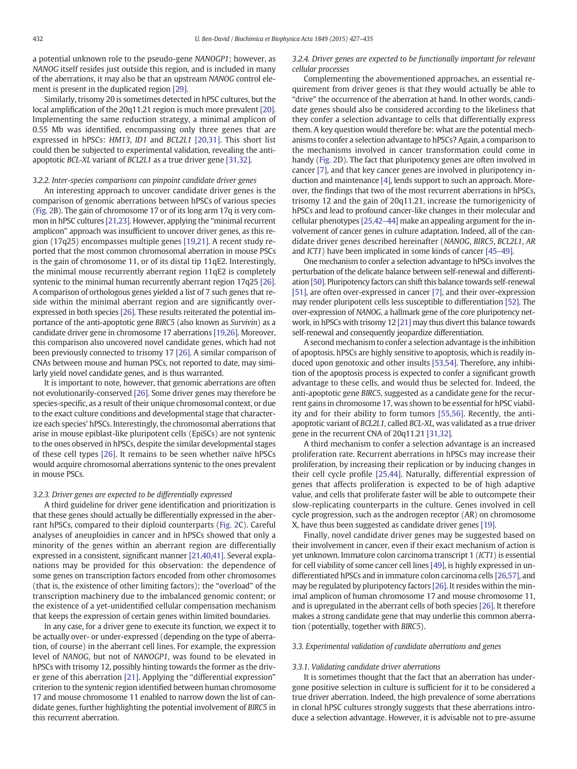a potential unknown role to the pseudo-gene NANOGP1; however, as NANOG itself resides just outside this region, and is included in many of the aberrations, it may also be that an upstream NANOG control element is present in the duplicated region [\[29\].](#page-7-0)

Similarly, trisomy 20 is sometimes detected in hPSC cultures, but the local amplification of the 20q11.21 region is much more prevalent [\[20\].](#page-7-0) Implementing the same reduction strategy, a minimal amplicon of 0.55 Mb was identified, encompassing only three genes that are expressed in hPSCs: HM13, ID1 and BCL2L1 [\[20,31\]](#page-7-0). This short list could then be subjected to experimental validation, revealing the antiapoptotic BCL-XL variant of BCL2L1 as a true driver gene [\[31,32\]](#page-7-0).

#### 3.2.2. Inter-species comparisons can pinpoint candidate driver genes

An interesting approach to uncover candidate driver genes is the comparison of genomic aberrations between hPSCs of various species [\(Fig. 2](#page-4-0)B). The gain of chromosome 17 or of its long arm 17q is very common in hPSC cultures [\[21,23\].](#page-7-0) However, applying the "minimal recurrent amplicon" approach was insufficient to uncover driver genes, as this region (17q25) encompasses multiple genes [\[19,21\]](#page-7-0). A recent study reported that the most common chromosomal aberration in mouse PSCs is the gain of chromosome 11, or of its distal tip 11qE2. Interestingly, the minimal mouse recurrently aberrant region 11qE2 is completely syntenic to the minimal human recurrently aberrant region 17q25 [\[26\].](#page-7-0) A comparison of orthologous genes yielded a list of 7 such genes that reside within the minimal aberrant region and are significantly overexpressed in both species [\[26\].](#page-7-0) These results reiterated the potential importance of the anti-apoptotic gene BIRC5 (also known as Survivin) as a candidate driver gene in chromosome 17 aberrations [\[19,26\]](#page-7-0). Moreover, this comparison also uncovered novel candidate genes, which had not been previously connected to trisomy 17 [\[26\].](#page-7-0) A similar comparison of CNAs between mouse and human PSCs, not reported to date, may similarly yield novel candidate genes, and is thus warranted.

It is important to note, however, that genomic aberrations are often not evolutionarily-conserved [\[26\].](#page-7-0) Some driver genes may therefore be species-specific, as a result of their unique chromosomal context, or due to the exact culture conditions and developmental stage that characterize each species' hPSCs. Interestingly, the chromosomal aberrations that arise in mouse epiblast-like pluripotent cells (EpiSCs) are not syntenic to the ones observed in hPSCs, despite the similar developmental stages of these cell types [\[26\]](#page-7-0). It remains to be seen whether naïve hPSCs would acquire chromosomal aberrations syntenic to the ones prevalent in mouse PSCs.

#### 3.2.3. Driver genes are expected to be differentially expressed

A third guideline for driver gene identification and prioritization is that these genes should actually be differentially expressed in the aberrant hPSCs, compared to their diploid counterparts ([Fig. 2](#page-4-0)C). Careful analyses of aneuploidies in cancer and in hPSCs showed that only a minority of the genes within an aberrant region are differentially expressed in a consistent, significant manner [\[21,40,41\].](#page-7-0) Several explanations may be provided for this observation: the dependence of some genes on transcription factors encoded from other chromosomes (that is, the existence of other limiting factors); the "overload" of the transcription machinery due to the imbalanced genomic content; or the existence of a yet-unidentified cellular compensation mechanism that keeps the expression of certain genes within limited boundaries.

In any case, for a driver gene to execute its function, we expect it to be actually over- or under-expressed (depending on the type of aberration, of course) in the aberrant cell lines. For example, the expression level of NANOG, but not of NANOGP1, was found to be elevated in hPSCs with trisomy 12, possibly hinting towards the former as the driver gene of this aberration [\[21\]](#page-7-0). Applying the "differential expression" criterion to the syntenic region identified between human chromosome 17 and mouse chromosome 11 enabled to narrow down the list of candidate genes, further highlighting the potential involvement of BIRC5 in this recurrent aberration.

# 3.2.4. Driver genes are expected to be functionally important for relevant cellular processes

Complementing the abovementioned approaches, an essential requirement from driver genes is that they would actually be able to "drive" the occurrence of the aberration at hand. In other words, candidate genes should also be considered according to the likeliness that they confer a selection advantage to cells that differentially express them. A key question would therefore be: what are the potential mechanisms to confer a selection advantage to hPSCs? Again, a comparison to the mechanisms involved in cancer transformation could come in handy ([Fig. 2](#page-4-0)D). The fact that pluripotency genes are often involved in cancer [\[7\],](#page-6-0) and that key cancer genes are involved in pluripotency induction and maintenance [\[4\]](#page-6-0), lends support to such an approach. Moreover, the findings that two of the most recurrent aberrations in hPSCs, trisomy 12 and the gain of 20q11.21, increase the tumorigenicity of hPSCs and lead to profound cancer-like changes in their molecular and cellular phenotypes [\[25,42](#page-7-0)–44] make an appealing argument for the involvement of cancer genes in culture adaptation. Indeed, all of the candidate driver genes described hereinafter (NANOG, BIRC5, BCL2L1, AR and ICT1) have been implicated in some kinds of cancer [\[45](#page-7-0)–49].

One mechanism to confer a selection advantage to hPSCs involves the perturbation of the delicate balance between self-renewal and differentiation [\[50\].](#page-7-0) Pluripotency factors can shift this balance towards self-renewal [\[51\]](#page-7-0), are often over-expressed in cancer [\[7\]](#page-6-0), and their over-expression may render pluripotent cells less susceptible to differentiation [\[52\].](#page-7-0) The over-expression of NANOG, a hallmark gene of the core pluripotency network, in hPSCs with trisomy 12 [\[21\]](#page-7-0) may thus divert this balance towards self-renewal and consequently jeopardize differentiation.

A second mechanism to confer a selection advantage is the inhibition of apoptosis. hPSCs are highly sensitive to apoptosis, which is readily induced upon genotoxic and other insults [\[53,54\]](#page-7-0). Therefore, any inhibition of the apoptosis process is expected to confer a significant growth advantage to these cells, and would thus be selected for. Indeed, the anti-apoptotic gene BIRC5, suggested as a candidate gene for the recurrent gains in chromosome 17, was shown to be essential for hPSC viability and for their ability to form tumors [\[55,56\].](#page-8-0) Recently, the antiapoptotic variant of BCL2L1, called BCL-XL, was validated as a true driver gene in the recurrent CNA of 20q11.21 [\[31,32\].](#page-7-0)

A third mechanism to confer a selection advantage is an increased proliferation rate. Recurrent aberrations in hPSCs may increase their proliferation, by increasing their replication or by inducing changes in their cell cycle profile [\[25,44\].](#page-7-0) Naturally, differential expression of genes that affects proliferation is expected to be of high adaptive value, and cells that proliferate faster will be able to outcompete their slow-replicating counterparts in the culture. Genes involved in cell cycle progression, such as the androgen receptor (AR) on chromosome X, have thus been suggested as candidate driver genes [\[19\].](#page-7-0)

Finally, novel candidate driver genes may be suggested based on their involvement in cancer, even if their exact mechanism of action is yet unknown. Immature colon carcinoma transcript 1 (ICT1) is essential for cell viability of some cancer cell lines [\[49\],](#page-7-0) is highly expressed in undifferentiated hPSCs and in immature colon carcinoma cells [\[26,57\],](#page-7-0) and may be regulated by pluripotency factors [\[26\].](#page-7-0) It resides within the minimal amplicon of human chromosome 17 and mouse chromosome 11, and is upregulated in the aberrant cells of both species [\[26\]](#page-7-0). It therefore makes a strong candidate gene that may underlie this common aberration (potentially, together with BIRC5).

# 3.3. Experimental validation of candidate aberrations and genes

#### 3.3.1. Validating candidate driver aberrations

It is sometimes thought that the fact that an aberration has undergone positive selection in culture is sufficient for it to be considered a true driver aberration. Indeed, the high prevalence of some aberrations in clonal hPSC cultures strongly suggests that these aberrations introduce a selection advantage. However, it is advisable not to pre-assume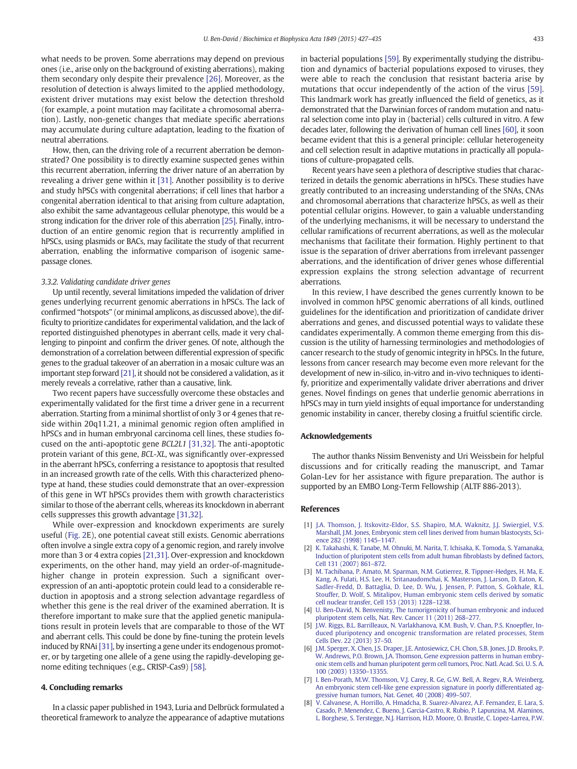<span id="page-6-0"></span>what needs to be proven. Some aberrations may depend on previous ones (i.e., arise only on the background of existing aberrations), making them secondary only despite their prevalence [\[26\].](#page-7-0) Moreover, as the resolution of detection is always limited to the applied methodology, existent driver mutations may exist below the detection threshold (for example, a point mutation may facilitate a chromosomal aberration). Lastly, non-genetic changes that mediate specific aberrations may accumulate during culture adaptation, leading to the fixation of neutral aberrations.

How, then, can the driving role of a recurrent aberration be demonstrated? One possibility is to directly examine suspected genes within this recurrent aberration, inferring the driver nature of an aberration by revealing a driver gene within it [\[31\]](#page-7-0). Another possibility is to derive and study hPSCs with congenital aberrations; if cell lines that harbor a congenital aberration identical to that arising from culture adaptation, also exhibit the same advantageous cellular phenotype, this would be a strong indication for the driver role of this aberration [\[25\]](#page-7-0). Finally, introduction of an entire genomic region that is recurrently amplified in hPSCs, using plasmids or BACs, may facilitate the study of that recurrent aberration, enabling the informative comparison of isogenic samepassage clones.

#### 3.3.2. Validating candidate driver genes

Up until recently, several limitations impeded the validation of driver genes underlying recurrent genomic aberrations in hPSCs. The lack of confirmed "hotspots" (or minimal amplicons, as discussed above), the difficulty to prioritize candidates for experimental validation, and the lack of reported distinguished phenotypes in aberrant cells, made it very challenging to pinpoint and confirm the driver genes. Of note, although the demonstration of a correlation between differential expression of specific genes to the gradual takeover of an aberration in a mosaic culture was an important step forward [\[21\],](#page-7-0) it should not be considered a validation, as it merely reveals a correlative, rather than a causative, link.

Two recent papers have successfully overcome these obstacles and experimentally validated for the first time a driver gene in a recurrent aberration. Starting from a minimal shortlist of only 3 or 4 genes that reside within 20q11.21, a minimal genomic region often amplified in hPSCs and in human embryonal carcinoma cell lines, these studies focused on the anti-apoptotic gene BCL2L1 [\[31,32\]](#page-7-0). The anti-apoptotic protein variant of this gene, BCL-XL, was significantly over-expressed in the aberrant hPSCs, conferring a resistance to apoptosis that resulted in an increased growth rate of the cells. With this characterized phenotype at hand, these studies could demonstrate that an over-expression of this gene in WT hPSCs provides them with growth characteristics similar to those of the aberrant cells, whereas its knockdown in aberrant cells suppresses this growth advantage [\[31,32\].](#page-7-0)

While over-expression and knockdown experiments are surely useful [\(Fig. 2](#page-4-0)E), one potential caveat still exists. Genomic aberrations often involve a single extra copy of a genomic region, and rarely involve more than 3 or 4 extra copies [\[21,31\].](#page-7-0) Over-expression and knockdown experiments, on the other hand, may yield an order-of-magnitudehigher change in protein expression. Such a significant overexpression of an anti-apoptotic protein could lead to a considerable reduction in apoptosis and a strong selection advantage regardless of whether this gene is the real driver of the examined aberration. It is therefore important to make sure that the applied genetic manipulations result in protein levels that are comparable to those of the WT and aberrant cells. This could be done by fine-tuning the protein levels induced by RNAi [\[31\]](#page-7-0), by inserting a gene under its endogenous promoter, or by targeting one allele of a gene using the rapidly-developing genome editing techniques (e.g., CRISP-Cas9) [\[58\]](#page-8-0).

# 4. Concluding remarks

In a classic paper published in 1943, Luria and Delbrück formulated a theoretical framework to analyze the appearance of adaptive mutations in bacterial populations [\[59\].](#page-8-0) By experimentally studying the distribution and dynamics of bacterial populations exposed to viruses, they were able to reach the conclusion that resistant bacteria arise by mutations that occur independently of the action of the virus [\[59\].](#page-8-0) This landmark work has greatly influenced the field of genetics, as it demonstrated that the Darwinian forces of random mutation and natural selection come into play in (bacterial) cells cultured in vitro. A few decades later, following the derivation of human cell lines [\[60\]](#page-8-0), it soon became evident that this is a general principle: cellular heterogeneity and cell selection result in adaptive mutations in practically all populations of culture-propagated cells.

Recent years have seen a plethora of descriptive studies that characterized in details the genomic aberrations in hPSCs. These studies have greatly contributed to an increasing understanding of the SNAs, CNAs and chromosomal aberrations that characterize hPSCs, as well as their potential cellular origins. However, to gain a valuable understanding of the underlying mechanisms, it will be necessary to understand the cellular ramifications of recurrent aberrations, as well as the molecular mechanisms that facilitate their formation. Highly pertinent to that issue is the separation of driver aberrations from irrelevant passenger aberrations, and the identification of driver genes whose differential expression explains the strong selection advantage of recurrent aberrations.

In this review, I have described the genes currently known to be involved in common hPSC genomic aberrations of all kinds, outlined guidelines for the identification and prioritization of candidate driver aberrations and genes, and discussed potential ways to validate these candidates experimentally. A common theme emerging from this discussion is the utility of harnessing terminologies and methodologies of cancer research to the study of genomic integrity in hPSCs. In the future, lessons from cancer research may become even more relevant for the development of new in-silico, in-vitro and in-vivo techniques to identify, prioritize and experimentally validate driver aberrations and driver genes. Novel findings on genes that underlie genomic aberrations in hPSCs may in turn yield insights of equal importance for understanding genomic instability in cancer, thereby closing a fruitful scientific circle.

# Acknowledgements

The author thanks Nissim Benvenisty and Uri Weissbein for helpful discussions and for critically reading the manuscript, and Tamar Golan-Lev for her assistance with figure preparation. The author is supported by an EMBO Long-Term Fellowship (ALTF 886-2013).

#### References

- [1] [J.A. Thomson, J. Itskovitz-Eldor, S.S. Shapiro, M.A. Waknitz, J.J. Swiergiel, V.S.](http://refhub.elsevier.com/S1874-9399(14)00223-5/rf0005) [Marshall, J.M. Jones, Embryonic stem cell lines derived from human blastocysts, Sci](http://refhub.elsevier.com/S1874-9399(14)00223-5/rf0005)[ence 282 \(1998\) 1145](http://refhub.elsevier.com/S1874-9399(14)00223-5/rf0005)–1147.
- [K. Takahashi, K. Tanabe, M. Ohnuki, M. Narita, T. Ichisaka, K. Tomoda, S. Yamanaka,](http://refhub.elsevier.com/S1874-9399(14)00223-5/rf0010) [Induction of pluripotent stem cells from adult human](http://refhub.elsevier.com/S1874-9399(14)00223-5/rf0010) fibroblasts by defined factors, [Cell 131 \(2007\) 861](http://refhub.elsevier.com/S1874-9399(14)00223-5/rf0010)–872.
- [3] [M. Tachibana, P. Amato, M. Sparman, N.M. Gutierrez, R. Tippner-Hedges, H. Ma, E.](http://refhub.elsevier.com/S1874-9399(14)00223-5/rf0015) [Kang, A. Fulati, H.S. Lee, H. Sritanaudomchai, K. Masterson, J. Larson, D. Eaton, K.](http://refhub.elsevier.com/S1874-9399(14)00223-5/rf0015) [Sadler-Fredd, D. Battaglia, D. Lee, D. Wu, J. Jensen, P. Patton, S. Gokhale, R.L.](http://refhub.elsevier.com/S1874-9399(14)00223-5/rf0015) [Stouffer, D. Wolf, S. Mitalipov, Human embryonic stem cells derived by somatic](http://refhub.elsevier.com/S1874-9399(14)00223-5/rf0015) [cell nuclear transfer, Cell 153 \(2013\) 1228](http://refhub.elsevier.com/S1874-9399(14)00223-5/rf0015)–1238.
- [4] [U. Ben-David, N. Benvenisty, The tumorigenicity of human embryonic and induced](http://refhub.elsevier.com/S1874-9399(14)00223-5/rf0020) [pluripotent stem cells, Nat. Rev. Cancer 11 \(2011\) 268](http://refhub.elsevier.com/S1874-9399(14)00223-5/rf0020)–277.
- [5] [J.W. Riggs, B.L. Barrilleaux, N. Varlakhanova, K.M. Bush, V. Chan, P.S. Knoep](http://refhub.elsevier.com/S1874-9399(14)00223-5/rf0025)fler, In[duced pluripotency and oncogenic transformation are related processes, Stem](http://refhub.elsevier.com/S1874-9399(14)00223-5/rf0025) [Cells Dev. 22 \(2013\) 37](http://refhub.elsevier.com/S1874-9399(14)00223-5/rf0025)–50.
- [6] [J.M. Sperger, X. Chen, J.S. Draper, J.E. Antosiewicz, C.H. Chon, S.B. Jones, J.D. Brooks, P.](http://refhub.elsevier.com/S1874-9399(14)00223-5/rf0030) [W. Andrews, P.O. Brown, J.A. Thomson, Gene expression patterns in human embry](http://refhub.elsevier.com/S1874-9399(14)00223-5/rf0030)[onic stem cells and human pluripotent germ cell tumors, Proc. Natl. Acad. Sci. U. S. A.](http://refhub.elsevier.com/S1874-9399(14)00223-5/rf0030) [100 \(2003\) 13350](http://refhub.elsevier.com/S1874-9399(14)00223-5/rf0030)–13355.
- [7] [I. Ben-Porath, M.W. Thomson, V.J. Carey, R. Ge, G.W. Bell, A. Regev, R.A. Weinberg,](http://refhub.elsevier.com/S1874-9399(14)00223-5/rf0035) [An embryonic stem cell-like gene expression signature in poorly differentiated ag](http://refhub.elsevier.com/S1874-9399(14)00223-5/rf0035)[gressive human tumors, Nat. Genet. 40 \(2008\) 499](http://refhub.elsevier.com/S1874-9399(14)00223-5/rf0035)–507.
- [8] [V. Calvanese, A. Horrillo, A. Hmadcha, B. Suarez-Alvarez, A.F. Fernandez, E. Lara, S.](http://refhub.elsevier.com/S1874-9399(14)00223-5/rf0040) [Casado, P. Menendez, C. Bueno, J. Garcia-Castro, R. Rubio, P. Lapunzina, M. Alaminos,](http://refhub.elsevier.com/S1874-9399(14)00223-5/rf0040) [L. Borghese, S. Terstegge, N.J. Harrison, H.D. Moore, O. Brustle, C. Lopez-Larrea, P.W.](http://refhub.elsevier.com/S1874-9399(14)00223-5/rf0040)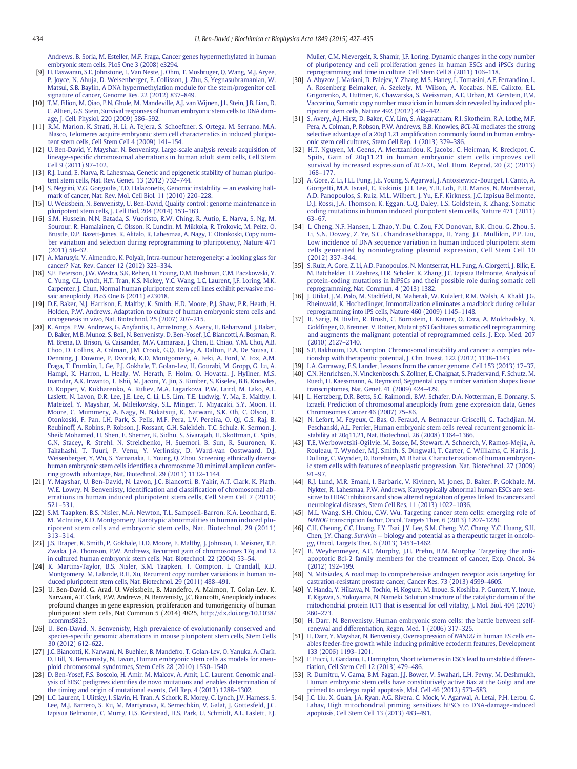<span id="page-7-0"></span>[Andrews, B. Soria, M. Esteller, M.F. Fraga, Cancer genes hypermethylated in human](http://refhub.elsevier.com/S1874-9399(14)00223-5/rf0040) [embryonic stem cells, PLoS One 3 \(2008\) e3294.](http://refhub.elsevier.com/S1874-9399(14)00223-5/rf0040)

- [9] [H. Easwaran, S.E. Johnstone, L. Van Neste, J. Ohm, T. Mosbruger, Q. Wang, M.J. Aryee,](http://refhub.elsevier.com/S1874-9399(14)00223-5/rf0045) [P. Joyce, N. Ahuja, D. Weisenberger, E. Collisson, J. Zhu, S. Yegnasubramanian, W.](http://refhub.elsevier.com/S1874-9399(14)00223-5/rf0045) [Matsui, S.B. Baylin, A DNA hypermethylation module for the stem/progenitor cell](http://refhub.elsevier.com/S1874-9399(14)00223-5/rf0045) [signature of cancer, Genome Res. 22 \(2012\) 837](http://refhub.elsevier.com/S1874-9399(14)00223-5/rf0045)–849.
- [10] [T.M. Filion, M. Qiao, P.N. Ghule, M. Mandeville, A.J. van Wijnen, J.L. Stein, J.B. Lian, D.](http://refhub.elsevier.com/S1874-9399(14)00223-5/rf0050) [C. Altieri, G.S. Stein, Survival responses of human embryonic stem cells to DNA dam](http://refhub.elsevier.com/S1874-9399(14)00223-5/rf0050)[age, J. Cell. Physiol. 220 \(2009\) 586](http://refhub.elsevier.com/S1874-9399(14)00223-5/rf0050)–592. [11] [R.M. Marion, K. Strati, H. Li, A. Tejera, S. Schoeftner, S. Ortega, M. Serrano, M.A.](http://refhub.elsevier.com/S1874-9399(14)00223-5/rf0055)
- [Blasco, Telomeres acquire embryonic stem cell characteristics in induced pluripo](http://refhub.elsevier.com/S1874-9399(14)00223-5/rf0055)[tent stem cells, Cell Stem Cell 4 \(2009\) 141](http://refhub.elsevier.com/S1874-9399(14)00223-5/rf0055)–154.
- [12] [U. Ben-David, Y. Mayshar, N. Benvenisty, Large-scale analysis reveals acquisition of](http://refhub.elsevier.com/S1874-9399(14)00223-5/rf0060) lineage-specifi[c chromosomal aberrations in human adult stem cells, Cell Stem](http://refhub.elsevier.com/S1874-9399(14)00223-5/rf0060) [Cell 9 \(2011\) 97](http://refhub.elsevier.com/S1874-9399(14)00223-5/rf0060)–102.
- [13] [R.J. Lund, E. Narva, R. Lahesmaa, Genetic and epigenetic stability of human pluripo](http://refhub.elsevier.com/S1874-9399(14)00223-5/rf0065)[tent stem cells, Nat. Rev. Genet. 13 \(2012\) 732](http://refhub.elsevier.com/S1874-9399(14)00223-5/rf0065)–744.
- [14] [S. Negrini, V.G. Gorgoulis, T.D. Halazonetis, Genomic instability](http://refhub.elsevier.com/S1874-9399(14)00223-5/rf0070) an evolving hall[mark of cancer, Nat. Rev. Mol. Cell Biol. 11 \(2010\) 220](http://refhub.elsevier.com/S1874-9399(14)00223-5/rf0070)–228.
- [15] [U. Weissbein, N. Benvenisty, U. Ben-David, Quality control: genome maintenance in](http://refhub.elsevier.com/S1874-9399(14)00223-5/rf0075) [pluripotent stem cells, J. Cell Biol. 204 \(2014\) 153](http://refhub.elsevier.com/S1874-9399(14)00223-5/rf0075)–163.
- [16] [S.M. Hussein, N.N. Batada, S. Vuoristo, R.W. Ching, R. Autio, E. Narva, S. Ng, M.](http://refhub.elsevier.com/S1874-9399(14)00223-5/rf0080) [Sourour, R. Hamalainen, C. Olsson, K. Lundin, M. Mikkola, R. Trokovic, M. Peitz, O.](http://refhub.elsevier.com/S1874-9399(14)00223-5/rf0080) [Brustle, D.P. Bazett-Jones, K. Alitalo, R. Lahesmaa, A. Nagy, T. Otonkoski, Copy num](http://refhub.elsevier.com/S1874-9399(14)00223-5/rf0080)[ber variation and selection during reprogramming to pluripotency, Nature 471](http://refhub.elsevier.com/S1874-9399(14)00223-5/rf0080) [\(2011\) 58](http://refhub.elsevier.com/S1874-9399(14)00223-5/rf0080)–62.
- [17] [A. Marusyk, V. Almendro, K. Polyak, Intra-tumour heterogeneity: a looking glass for](http://refhub.elsevier.com/S1874-9399(14)00223-5/rf0085) [cancer? Nat. Rev. Cancer 12 \(2012\) 323](http://refhub.elsevier.com/S1874-9399(14)00223-5/rf0085)–334.
- [18] [S.E. Peterson, J.W. Westra, S.K. Rehen, H. Young, D.M. Bushman, C.M. Paczkowski, Y.](http://refhub.elsevier.com/S1874-9399(14)00223-5/rf0090) [C. Yung, C.L. Lynch, H.T. Tran, K.S. Nickey, Y.C. Wang, L.C. Laurent, J.F. Loring, M.K.](http://refhub.elsevier.com/S1874-9399(14)00223-5/rf0090) [Carpenter, J. Chun, Normal human pluripotent stem cell lines exhibit pervasive mo](http://refhub.elsevier.com/S1874-9399(14)00223-5/rf0090)[saic aneuploidy, PLoS One 6 \(2011\) e23018.](http://refhub.elsevier.com/S1874-9399(14)00223-5/rf0090)
- [19] [D.E. Baker, N.J. Harrison, E. Maltby, K. Smith, H.D. Moore, P.J. Shaw, P.R. Heath, H.](http://refhub.elsevier.com/S1874-9399(14)00223-5/rf0095) [Holden, P.W. Andrews, Adaptation to culture of human embryonic stem cells and](http://refhub.elsevier.com/S1874-9399(14)00223-5/rf0095) [oncogenesis in vivo, Nat. Biotechnol. 25 \(2007\) 207](http://refhub.elsevier.com/S1874-9399(14)00223-5/rf0095)–215.
- [20] [K. Amps, P.W. Andrews, G. Anyfantis, L. Armstrong, S. Avery, H. Baharvand, J. Baker,](http://refhub.elsevier.com/S1874-9399(14)00223-5/rf0100) [D. Baker, M.B. Munoz, S. Beil, N. Benvenisty, D. Ben-Yosef, J.C. Biancotti, A. Bosman, R.](http://refhub.elsevier.com/S1874-9399(14)00223-5/rf0100) [M. Brena, D. Brison, G. Caisander, M.V. Camarasa, J. Chen, E. Chiao, Y.M. Choi, A.B.](http://refhub.elsevier.com/S1874-9399(14)00223-5/rf0100) [Choo, D. Collins, A. Colman, J.M. Crook, G.Q. Daley, A. Dalton, P.A. De Sousa, C.](http://refhub.elsevier.com/S1874-9399(14)00223-5/rf0100) [Denning, J. Downie, P. Dvorak, K.D. Montgomery, A. Feki, A. Ford, V. Fox, A.M.](http://refhub.elsevier.com/S1874-9399(14)00223-5/rf0100) [Fraga, T. Frumkin, L. Ge, P.J. Gokhale, T. Golan-Lev, H. Gourabi, M. Gropp, G. Lu, A.](http://refhub.elsevier.com/S1874-9399(14)00223-5/rf0100) [Hampl, K. Harron, L. Healy, W. Herath, F. Holm, O. Hovatta, J. Hyllner, M.S.](http://refhub.elsevier.com/S1874-9399(14)00223-5/rf0100) [Inamdar, A.K. Irwanto, T. Ishii, M. Jaconi, Y. Jin, S. Kimber, S. Kiselev, B.B. Knowles,](http://refhub.elsevier.com/S1874-9399(14)00223-5/rf0100) [O. Kopper, V. Kukharenko, A. Kuliev, M.A. Lagarkova, P.W. Laird, M. Lako, A.L.](http://refhub.elsevier.com/S1874-9399(14)00223-5/rf0100) [Laslett, N. Lavon, D.R. Lee, J.E. Lee, C. Li, L.S. Lim, T.E. Ludwig, Y. Ma, E. Maltby, I.](http://refhub.elsevier.com/S1874-9399(14)00223-5/rf0100) [Mateizel, Y. Mayshar, M. Mileikovsky, S.L. Minger, T. Miyazaki, S.Y. Moon, H.](http://refhub.elsevier.com/S1874-9399(14)00223-5/rf0100) [Moore, C. Mummery, A. Nagy, N. Nakatsuji, K. Narwani, S.K. Oh, C. Olson, T.](http://refhub.elsevier.com/S1874-9399(14)00223-5/rf0100) [Otonkoski, F. Pan, I.H. Park, S. Pells, M.F. Pera, L.V. Pereira, O. Qi, G.S. Raj, B.](http://refhub.elsevier.com/S1874-9399(14)00223-5/rf0100) [Reubinoff, A. Robins, P. Robson, J. Rossant, G.H. Salekdeh, T.C. Schulz, K. Sermon, J.](http://refhub.elsevier.com/S1874-9399(14)00223-5/rf0100) [Sheik Mohamed, H. Shen, E. Sherrer, K. Sidhu, S. Sivarajah, H. Skottman, C. Spits,](http://refhub.elsevier.com/S1874-9399(14)00223-5/rf0100) [G.N. Stacey, R. Strehl, N. Strelchenko, H. Suemori, B. Sun, R. Suuronen, K.](http://refhub.elsevier.com/S1874-9399(14)00223-5/rf0100) [Takahashi, T. Tuuri, P. Venu, Y. Verlinsky, D. Ward-van Oostwaard, D.J.](http://refhub.elsevier.com/S1874-9399(14)00223-5/rf0100) [Weisenberger, Y. Wu, S. Yamanaka, L. Young, Q. Zhou, Screening ethnically diverse](http://refhub.elsevier.com/S1874-9399(14)00223-5/rf0100) human embryonic stem cells identifi[es a chromosome 20 minimal amplicon confer](http://refhub.elsevier.com/S1874-9399(14)00223-5/rf0100)[ring growth advantage, Nat. Biotechnol. 29 \(2011\) 1132](http://refhub.elsevier.com/S1874-9399(14)00223-5/rf0100)–1144.
- [21] [Y. Mayshar, U. Ben-David, N. Lavon, J.C. Biancotti, B. Yakir, A.T. Clark, K. Plath,](http://refhub.elsevier.com/S1874-9399(14)00223-5/rf0105) [W.E. Lowry, N. Benvenisty, Identi](http://refhub.elsevier.com/S1874-9399(14)00223-5/rf0105)fication and classification of chromosomal ab[errations in human induced pluripotent stem cells, Cell Stem Cell 7 \(2010\)](http://refhub.elsevier.com/S1874-9399(14)00223-5/rf0105) 521–[531.](http://refhub.elsevier.com/S1874-9399(14)00223-5/rf0105)
- [22] [S.M. Taapken, B.S. Nisler, M.A. Newton, T.L. Sampsell-Barron, K.A. Leonhard, E.](http://refhub.elsevier.com/S1874-9399(14)00223-5/rf0110) [M. McIntire, K.D. Montgomery, Karotypic abnormalities in human induced plu](http://refhub.elsevier.com/S1874-9399(14)00223-5/rf0110)[ripotent stem cells and embryonic stem cells, Nat. Biotechnol. 29 \(2011\)](http://refhub.elsevier.com/S1874-9399(14)00223-5/rf0110) 313–[314.](http://refhub.elsevier.com/S1874-9399(14)00223-5/rf0110)
- [23] [J.S. Draper, K. Smith, P. Gokhale, H.D. Moore, E. Maltby, J. Johnson, L. Meisner, T.P.](http://refhub.elsevier.com/S1874-9399(14)00223-5/rf0115) [Zwaka, J.A. Thomson, P.W. Andrews, Recurrent gain of chromosomes 17q and 12](http://refhub.elsevier.com/S1874-9399(14)00223-5/rf0115) [in cultured human embryonic stem cells, Nat. Biotechnol. 22 \(2004\) 53](http://refhub.elsevier.com/S1874-9399(14)00223-5/rf0115)–54.
- [24] [K. Martins-Taylor, B.S. Nisler, S.M. Taapken, T. Compton, L. Crandall, K.D.](http://refhub.elsevier.com/S1874-9399(14)00223-5/rf0120) [Montgomery, M. Lalande, R.H. Xu, Recurrent copy number variations in human in](http://refhub.elsevier.com/S1874-9399(14)00223-5/rf0120)[duced pluripotent stem cells, Nat. Biotechnol. 29 \(2011\) 488](http://refhub.elsevier.com/S1874-9399(14)00223-5/rf0120)–491.
- [25] U. Ben-David, G. Arad, U. Weissbein, B. Mandefro, A. Maimon, T. Golan-Lev, K. Narwani, A.T. Clark, P.W. Andrews, N. Benvenisty, J.C. Biancotti, Aneuploidy induces profound changes in gene expression, proliferation and tumorigenicity of human pluripotent stem cells, Nat Commun 5 (2014) 4825, http://dx.doi.org/[10.1038/](http://dx.doi.org/10.1038/ncomms5825) [ncomms5825](http://dx.doi.org/10.1038/ncomms5825).
- [26] [U. Ben-David, N. Benvenisty, High prevalence of evolutionarily conserved and](http://refhub.elsevier.com/S1874-9399(14)00223-5/rf0130) species-specifi[c genomic aberrations in mouse pluripotent stem cells, Stem Cells](http://refhub.elsevier.com/S1874-9399(14)00223-5/rf0130) [30 \(2012\) 612](http://refhub.elsevier.com/S1874-9399(14)00223-5/rf0130)–622.
- [J.C. Biancotti, K. Narwani, N. Buehler, B. Mandefro, T. Golan-Lev, O. Yanuka, A. Clark,](http://refhub.elsevier.com/S1874-9399(14)00223-5/rf0135) [D. Hill, N. Benvenisty, N. Lavon, Human embryonic stem cells as models for aneu](http://refhub.elsevier.com/S1874-9399(14)00223-5/rf0135)[ploid chromosomal syndromes, Stem Cells 28 \(2010\) 1530](http://refhub.elsevier.com/S1874-9399(14)00223-5/rf0135)–1540.
- [28] [D. Ben-Yosef, F.S. Boscolo, H. Amir, M. Malcov, A. Amit, L.C. Laurent, Genomic anal](http://refhub.elsevier.com/S1874-9399(14)00223-5/rf0140)ysis of hESC pedigrees identifi[es de novo mutations and enables determination of](http://refhub.elsevier.com/S1874-9399(14)00223-5/rf0140) [the timing and origin of mutational events, Cell Rep. 4 \(2013\) 1288](http://refhub.elsevier.com/S1874-9399(14)00223-5/rf0140)–1302.
- [29] [L.C. Laurent, I. Ulitsky, I. Slavin, H. Tran, A. Schork, R. Morey, C. Lynch, J.V. Harness, S.](http://refhub.elsevier.com/S1874-9399(14)00223-5/rf0145) [Lee, M.J. Barrero, S. Ku, M. Martynova, R. Semechkin, V. Galat, J. Gottesfeld, J.C.](http://refhub.elsevier.com/S1874-9399(14)00223-5/rf0145) [Izpisua Belmonte, C. Murry, H.S. Keirstead, H.S. Park, U. Schmidt, A.L. Laslett, F.J.](http://refhub.elsevier.com/S1874-9399(14)00223-5/rf0145)

[Muller, C.M. Nievergelt, R. Shamir, J.F. Loring, Dynamic changes in the copy number](http://refhub.elsevier.com/S1874-9399(14)00223-5/rf0145) [of pluripotency and cell proliferation genes in human ESCs and iPSCs during](http://refhub.elsevier.com/S1874-9399(14)00223-5/rf0145) [reprogramming and time in culture, Cell Stem Cell 8 \(2011\) 106](http://refhub.elsevier.com/S1874-9399(14)00223-5/rf0145)–118.

- [30] [A. Abyzov, J. Mariani, D. Palejev, Y. Zhang, M.S. Haney, L. Tomasini, A.F. Ferrandino, L.](http://refhub.elsevier.com/S1874-9399(14)00223-5/rf0150) [A. Rosenberg Belmaker, A. Szekely, M. Wilson, A. Kocabas, N.E. Calixto, E.L.](http://refhub.elsevier.com/S1874-9399(14)00223-5/rf0150) [Grigorenko, A. Huttner, K. Chawarska, S. Weissman, A.E. Urban, M. Gerstein, F.M.](http://refhub.elsevier.com/S1874-9399(14)00223-5/rf0150) [Vaccarino, Somatic copy number mosaicism in human skin revealed by induced plu](http://refhub.elsevier.com/S1874-9399(14)00223-5/rf0150)[ripotent stem cells, Nature 492 \(2012\) 438](http://refhub.elsevier.com/S1874-9399(14)00223-5/rf0150)–442.
- [31] [S. Avery, A.J. Hirst, D. Baker, C.Y. Lim, S. Alagaratnam, R.I. Skotheim, R.A. Lothe, M.F.](http://refhub.elsevier.com/S1874-9399(14)00223-5/rf0300) [Pera, A. Colman, P. Robson, P.W. Andrews, B.B. Knowles,](http://refhub.elsevier.com/S1874-9399(14)00223-5/rf0300) BCL-XL mediates the strong selective advantage of a 20q11.21 amplifi[cation commonly found in human embry](http://refhub.elsevier.com/S1874-9399(14)00223-5/rf0300)[onic stem cell cultures, Stem Cell Rep. 1 \(2013\) 379](http://refhub.elsevier.com/S1874-9399(14)00223-5/rf0300)–386.
- [32] [H.T. Nguyen, M. Geens, A. Mertzanidou, K. Jacobs, C. Heirman, K. Breckpot, C.](http://refhub.elsevier.com/S1874-9399(14)00223-5/rf0305) [Spits, Gain of 20q11.21 in human embryonic stem cells improves cell](http://refhub.elsevier.com/S1874-9399(14)00223-5/rf0305) [survival by increased expression of](http://refhub.elsevier.com/S1874-9399(14)00223-5/rf0305) BCL-XL, Mol. Hum. Reprod. 20 (2) (2013) [168](http://refhub.elsevier.com/S1874-9399(14)00223-5/rf0305)–177.
- [33] [A. Gore, Z. Li, H.L. Fung, J.E. Young, S. Agarwal, J. Antosiewicz-Bourget, I. Canto, A.](http://refhub.elsevier.com/S1874-9399(14)00223-5/rf0155) [Giorgetti, M.A. Israel, E. Kiskinis, J.H. Lee, Y.H. Loh, P.D. Manos, N. Montserrat,](http://refhub.elsevier.com/S1874-9399(14)00223-5/rf0155) [A.D. Panopoulos, S. Ruiz, M.L. Wilbert, J. Yu, E.F. Kirkness, J.C. Izpisua Belmonte,](http://refhub.elsevier.com/S1874-9399(14)00223-5/rf0155) [D.J. Rossi, J.A. Thomson, K. Eggan, G.Q. Daley, L.S. Goldstein, K. Zhang, Somatic](http://refhub.elsevier.com/S1874-9399(14)00223-5/rf0155) [coding mutations in human induced pluripotent stem cells, Nature 471 \(2011\)](http://refhub.elsevier.com/S1874-9399(14)00223-5/rf0155) 63–[67.](http://refhub.elsevier.com/S1874-9399(14)00223-5/rf0155)
- [34] [L. Cheng, N.F. Hansen, L. Zhao, Y. Du, C. Zou, F.X. Donovan, B.K. Chou, G. Zhou, S.](http://refhub.elsevier.com/S1874-9399(14)00223-5/rf0160) [Li, S.N. Dowey, Z. Ye, S.C. Chandrasekharappa, H. Yang, J.C. Mullikin, P.P. Liu,](http://refhub.elsevier.com/S1874-9399(14)00223-5/rf0160) [Low incidence of DNA sequence variation in human induced pluripotent stem](http://refhub.elsevier.com/S1874-9399(14)00223-5/rf0160) [cells generated by nonintegrating plasmid expression, Cell Stem Cell 10](http://refhub.elsevier.com/S1874-9399(14)00223-5/rf0160) [\(2012\) 337](http://refhub.elsevier.com/S1874-9399(14)00223-5/rf0160)–344.
- [35] [S. Ruiz, A. Gore, Z. Li, A.D. Panopoulos, N. Montserrat, H.L. Fung, A. Giorgetti, J. Bilic, E.](http://refhub.elsevier.com/S1874-9399(14)00223-5/rf0165) [M. Batchelder, H. Zaehres, H.R. Scholer, K. Zhang, J.C. Izpisua Belmonte, Analysis of](http://refhub.elsevier.com/S1874-9399(14)00223-5/rf0165) [protein-coding mutations in hiPSCs and their possible role during somatic cell](http://refhub.elsevier.com/S1874-9399(14)00223-5/rf0165) [reprogramming, Nat. Commun. 4 \(2013\) 1382](http://refhub.elsevier.com/S1874-9399(14)00223-5/rf0165).
- [36] [J. Utikal, J.M. Polo, M. Stadtfeld, N. Maherali, W. Kulalert, R.M. Walsh, A. Khalil, J.G.](http://refhub.elsevier.com/S1874-9399(14)00223-5/rf0170) [Rheinwald, K. Hochedlinger, Immortalization eliminates a roadblock during cellular](http://refhub.elsevier.com/S1874-9399(14)00223-5/rf0170) [reprogramming into iPS cells, Nature 460 \(2009\) 1145](http://refhub.elsevier.com/S1874-9399(14)00223-5/rf0170)–1148.
- [37] [R. Sarig, N. Rivlin, R. Brosh, C. Bornstein, I. Kamer, O. Ezra, A. Molchadsky, N.](http://refhub.elsevier.com/S1874-9399(14)00223-5/rf0175) Goldfi[nger, O. Brenner, V. Rotter, Mutant p53 facilitates somatic cell reprogramming](http://refhub.elsevier.com/S1874-9399(14)00223-5/rf0175) [and augments the malignant potential of reprogrammed cells, J. Exp. Med. 207](http://refhub.elsevier.com/S1874-9399(14)00223-5/rf0175) [\(2010\) 2127](http://refhub.elsevier.com/S1874-9399(14)00223-5/rf0175)–2140.
- [38] [S.F. Bakhoum, D.A. Compton, Chromosomal instability and cancer: a complex rela](http://refhub.elsevier.com/S1874-9399(14)00223-5/rf0180)[tionship with therapeutic potential, J. Clin. Invest. 122 \(2012\) 1138](http://refhub.elsevier.com/S1874-9399(14)00223-5/rf0180)–1143.
- [39] [L.A. Garraway, E.S. Lander, Lessons from the cancer genome, Cell 153 \(2013\) 17](http://refhub.elsevier.com/S1874-9399(14)00223-5/rf0185)–37. [40] [C.N. Henrichsen, N. Vinckenbosch, S. Zollner, E. Chaignat, S. Pradervand, F. Schutz, M.](http://refhub.elsevier.com/S1874-9399(14)00223-5/rf0190) [Ruedi, H. Kaessmann, A. Reymond, Segmental copy number variation shapes tissue](http://refhub.elsevier.com/S1874-9399(14)00223-5/rf0190) [transcriptomes, Nat. Genet. 41 \(2009\) 424](http://refhub.elsevier.com/S1874-9399(14)00223-5/rf0190)–429.
- [41] [L. Hertzberg, D.R. Betts, S.C. Raimondi, B.W. Schafer, D.A. Notterman, E. Domany, S.](http://refhub.elsevier.com/S1874-9399(14)00223-5/rf0195) [Izraeli, Prediction of chromosomal aneuploidy from gene expression data, Genes](http://refhub.elsevier.com/S1874-9399(14)00223-5/rf0195) [Chromosomes Cancer 46 \(2007\) 75](http://refhub.elsevier.com/S1874-9399(14)00223-5/rf0195)–86.
- [42] [N. Lefort, M. Feyeux, C. Bas, O. Feraud, A. Bennaceur-Griscelli, G. Tachdjian, M.](http://refhub.elsevier.com/S1874-9399(14)00223-5/rf0200) [Peschanski, A.L. Perrier, Human embryonic stem cells reveal recurrent genomic in](http://refhub.elsevier.com/S1874-9399(14)00223-5/rf0200)[stability at 20q11.21, Nat. Biotechnol. 26 \(2008\) 1364](http://refhub.elsevier.com/S1874-9399(14)00223-5/rf0200)–1366.
- [43] [T.E. Werbowetski-Ogilvie, M. Bosse, M. Stewart, A. Schnerch, V. Ramos-Mejia, A.](http://refhub.elsevier.com/S1874-9399(14)00223-5/rf0205) [Rouleau, T. Wynder, M.J. Smith, S. Dingwall, T. Carter, C. Williams, C. Harris, J.](http://refhub.elsevier.com/S1874-9399(14)00223-5/rf0205) [Dolling, C. Wynder, D. Boreham, M. Bhatia, Characterization of human embryon](http://refhub.elsevier.com/S1874-9399(14)00223-5/rf0205)[ic stem cells with features of neoplastic progression, Nat. Biotechnol. 27 \(2009\)](http://refhub.elsevier.com/S1874-9399(14)00223-5/rf0205) 91–[97.](http://refhub.elsevier.com/S1874-9399(14)00223-5/rf0205)
- [44] [R.J. Lund, M.R. Emani, I. Barbaric, V. Kivinen, M. Jones, D. Baker, P. Gokhale, M.](http://refhub.elsevier.com/S1874-9399(14)00223-5/rf0210) [Nykter, R. Lahesmaa, P.W. Andrews, Karyotypically abnormal human ESCs are sen](http://refhub.elsevier.com/S1874-9399(14)00223-5/rf0210)[sitive to HDAC inhibitors and show altered regulation of genes linked to cancers and](http://refhub.elsevier.com/S1874-9399(14)00223-5/rf0210) [neurological diseases, Stem Cell Res. 11 \(2013\) 1022](http://refhub.elsevier.com/S1874-9399(14)00223-5/rf0210)–1036.
- [45] [M.L. Wang, S.H. Chiou, C.W. Wu, Targeting cancer stem cells: emerging role of](http://refhub.elsevier.com/S1874-9399(14)00223-5/rf0215) NANOG [transcription factor, Oncol. Targets Ther. 6 \(2013\) 1207](http://refhub.elsevier.com/S1874-9399(14)00223-5/rf0215)–1220.
- [46] [C.H. Cheung, C.C. Huang, F.Y. Tsai, J.Y. Lee, S.M. Cheng, Y.C. Chang, Y.C. Huang, S.H.](http://refhub.elsevier.com/S1874-9399(14)00223-5/rf0220) Chen, J.Y. Chang, Survivin — [biology and potential as a therapeutic target in oncolo](http://refhub.elsevier.com/S1874-9399(14)00223-5/rf0220)[gy, Oncol. Targets Ther. 6 \(2013\) 1453](http://refhub.elsevier.com/S1874-9399(14)00223-5/rf0220)–1462.
- [47] [B. Weyhenmeyer, A.C. Murphy, J.H. Prehn, B.M. Murphy, Targeting the anti](http://refhub.elsevier.com/S1874-9399(14)00223-5/rf0225)[apoptotic Bcl-2 family members for the treatment of cancer, Exp. Oncol. 34](http://refhub.elsevier.com/S1874-9399(14)00223-5/rf0225) [\(2012\) 192](http://refhub.elsevier.com/S1874-9399(14)00223-5/rf0225)–199.
- [48] [N. Mitsiades, A road map to comprehensive androgen receptor axis targeting for](http://refhub.elsevier.com/S1874-9399(14)00223-5/rf0230) [castration-resistant prostate cancer, Cancer Res. 73 \(2013\) 4599](http://refhub.elsevier.com/S1874-9399(14)00223-5/rf0230)–4605.
- [49] [Y. Handa, Y. Hikawa, N. Tochio, H. Kogure, M. Inoue, S. Koshiba, P. Guntert, Y. Inoue,](http://refhub.elsevier.com/S1874-9399(14)00223-5/rf0235) [T. Kigawa, S. Yokoyama, N. Nameki, Solution structure of the catalytic domain of the](http://refhub.elsevier.com/S1874-9399(14)00223-5/rf0235) [mitochondrial protein ICT1 that is essential for cell vitality, J. Mol. Biol. 404 \(2010\)](http://refhub.elsevier.com/S1874-9399(14)00223-5/rf0235) [260](http://refhub.elsevier.com/S1874-9399(14)00223-5/rf0235)–273.
- [50] [H. Darr, N. Benvenisty, Human embryonic stem cells: the battle between self](http://refhub.elsevier.com/S1874-9399(14)00223-5/rf0240)[renewal and differentiation, Regen. Med. 1 \(2006\) 317](http://refhub.elsevier.com/S1874-9399(14)00223-5/rf0240)–325.
- [51] [H. Darr, Y. Mayshar, N. Benvenisty, Overexpression of](http://refhub.elsevier.com/S1874-9399(14)00223-5/rf0245) NANOG in human ES cells en[ables feeder-free growth while inducing primitive ectoderm features, Development](http://refhub.elsevier.com/S1874-9399(14)00223-5/rf0245) [133 \(2006\) 1193](http://refhub.elsevier.com/S1874-9399(14)00223-5/rf0245)–1201.
- [52] [F. Pucci, L. Gardano, L. Harrington, Short telomeres in ESCs lead to unstable differen](http://refhub.elsevier.com/S1874-9399(14)00223-5/rf0250)[tiation, Cell Stem Cell 12 \(2013\) 479](http://refhub.elsevier.com/S1874-9399(14)00223-5/rf0250)–486.
- [53] [R. Dumitru, V. Gama, B.M. Fagan, J.J. Bower, V. Swahari, L.H. Pevny, M. Deshmukh,](http://refhub.elsevier.com/S1874-9399(14)00223-5/rf0255) [Human embryonic stem cells have constitutively active Bax at the Golgi and are](http://refhub.elsevier.com/S1874-9399(14)00223-5/rf0255) [primed to undergo rapid apoptosis, Mol. Cell 46 \(2012\) 573](http://refhub.elsevier.com/S1874-9399(14)00223-5/rf0255)–583.
- [54] [J.C. Liu, X. Guan, J.A. Ryan, A.G. Rivera, C. Mock, V. Agarwal, A. Letai, P.H. Lerou, G.](http://refhub.elsevier.com/S1874-9399(14)00223-5/rf0260) [Lahav, High mitochondrial priming sensitizes hESCs to DNA-damage-induced](http://refhub.elsevier.com/S1874-9399(14)00223-5/rf0260) [apoptosis, Cell Stem Cell 13 \(2013\) 483](http://refhub.elsevier.com/S1874-9399(14)00223-5/rf0260)–491.